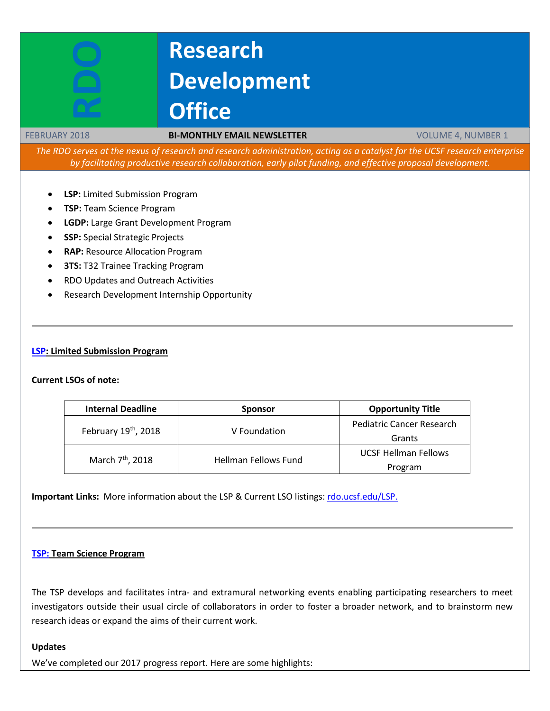# **Research Development Office**

#### FEBRUARY 2018 **BI-MONTHLY EMAIL NEWSLETTER** VOLUME 4, NUMBER 1

*The RDO serves at the nexus of research and research administration, acting as a catalyst for the UCSF research enterprise by facilitating productive research collaboration, early pilot funding, and effective proposal development.*

- **LSP:** Limited Submission Program
- **TSP:** Team Science Program
- **LGDP:** Large Grant Development Program
- **SSP:** Special Strategic Projects
- **RAP:** Resource Allocation Program
- **3TS: T32 Trainee Tracking Program**
- RDO Updates and Outreach Activities
- Research Development Internship Opportunity

#### **[LSP:](http://rdo.ucsf.edu/limited-submission-program-lsp) Limited Submission Program**

#### **Current LSOs of note:**

| <b>Internal Deadline</b>     | <b>Sponsor</b>       | <b>Opportunity Title</b>         |  |
|------------------------------|----------------------|----------------------------------|--|
| February 19th, 2018          | V Foundation         | <b>Pediatric Cancer Research</b> |  |
|                              |                      | Grants                           |  |
| March 7 <sup>th</sup> , 2018 | Hellman Fellows Fund | <b>UCSF Hellman Fellows</b>      |  |
|                              |                      | Program                          |  |

**Important Links:** More information about the LSP & Current LSO listings[: rdo.ucsf.edu/LSP.](http://rdo.ucsf.edu/limited-submission-program-lsp)

### **[TSP:](http://rdo.ucsf.edu/team-science-research-innovation-program-tsrip) Team Science Program**

The TSP develops and facilitates intra- and extramural networking events enabling participating researchers to meet investigators outside their usual circle of collaborators in order to foster a broader network, and to brainstorm new research ideas or expand the aims of their current work.

#### **Updates**

We've completed our 2017 progress report. Here are some highlights: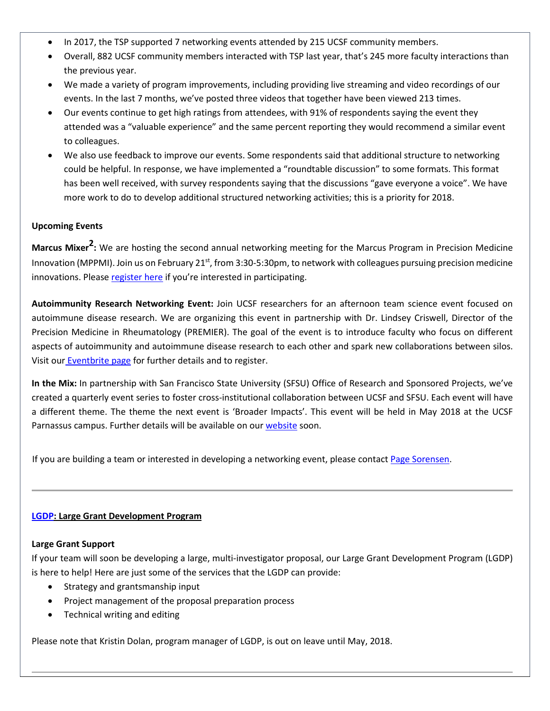- In 2017, the TSP supported 7 networking events attended by 215 UCSF community members.
- Overall, 882 UCSF community members interacted with TSP last year, that's 245 more faculty interactions than the previous year.
- We made a variety of program improvements, including providing live streaming and video recordings of our events. In the last 7 months, we've posted three videos that together have been viewed 213 times.
- Our events continue to get high ratings from attendees, with 91% of respondents saying the event they attended was a "valuable experience" and the same percent reporting they would recommend a similar event to colleagues.
- We also use feedback to improve our events. Some respondents said that additional structure to networking could be helpful. In response, we have implemented a "roundtable discussion" to some formats. This format has been well received, with survey respondents saying that the discussions "gave everyone a voice". We have more work to do to develop additional structured networking activities; this is a priority for 2018.

## **Upcoming Events**

**Marcus Mixer2:** We are hosting the second annual networking meeting for the Marcus Program in Precision Medicine Innovation (MPPMI). Join us on February  $21^{st}$ , from 3:30-5:30pm, to network with colleagues pursuing precision medicine innovations. Please [register here](https://www.eventbrite.com/e/marcus-mixer2-a-networking-event-for-the-marcus-program-mppmi-tickets-39845792839?aff=RDOWebsite) if you're interested in participating.

**Autoimmunity Research Networking Event:** Join UCSF researchers for an afternoon team science event focused on autoimmune disease research. We are organizing this event in partnership with Dr. Lindsey Criswell, Director of the Precision Medicine in Rheumatology (PREMIER). The goal of the event is to introduce faculty who focus on different aspects of autoimmunity and autoimmune disease research to each other and spark new collaborations between silos. Visit our [Eventbrite page](https://www.eventbrite.com/e/autoimmunity-research-networking-event-tickets-40953374646?aff=website) for further details and to register.

**In the Mix:** In partnership with San Francisco State University (SFSU) Office of Research and Sponsored Projects, we've created a quarterly event series to foster cross-institutional collaboration between UCSF and SFSU. Each event will have a different theme. The theme the next event is 'Broader Impacts'. This event will be held in May 2018 at the UCSF Parnassus campus. Further details will be available on our [website](http://rdo.ucsf.edu/team-science-program#Event%20Schedule) soon.

If you are building a team or interested in developing a networking event, please contac[t Page Sorensen.](mailto:page.sorensen@ucsf.edu)

# **[LGDP:](http://rdo.ucsf.edu/large-grant-development-program-lgdp) Large Grant Development Program**

#### **Large Grant Support**

If your team will soon be developing a large, multi-investigator proposal, our Large Grant Development Program (LGDP) is here to help! Here are just some of the services that the LGDP can provide:

- Strategy and grantsmanship input
- Project management of the proposal preparation process
- Technical writing and editing

Please note that Kristin Dolan, program manager of LGDP, is out on leave until May, 2018.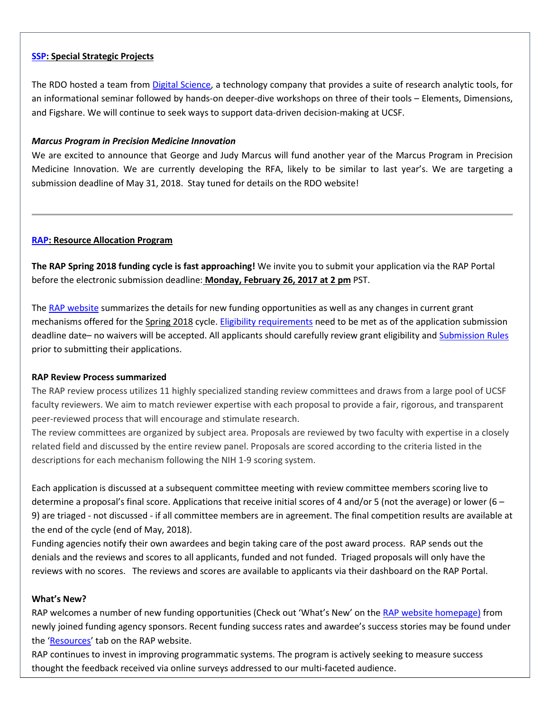#### **[SSP:](http://rdo.ucsf.edu/special-strategic-projects-ssp) Special Strategic Projects**

The RDO hosted a team fro[m Digital Science,](https://www.digital-science.com/about-us/) a technology company that provides a suite of research analytic tools, for an informational seminar followed by hands-on deeper-dive workshops on three of their tools – Elements, Dimensions, and Figshare. We will continue to seek ways to support data-driven decision-making at UCSF.

#### *Marcus Program in Precision Medicine Innovation*

We are excited to announce that George and Judy Marcus will fund another year of the Marcus Program in Precision Medicine Innovation. We are currently developing the RFA, likely to be similar to last year's. We are targeting a submission deadline of May 31, 2018. Stay tuned for details on the RDO website!

#### **[RAP:](https://rap.ucsf.edu/) Resource Allocation Program**

**The RAP Spring 2018 funding cycle is fast approaching!** We invite you to submit your application via the RAP Portal before the electronic submission deadline: **Monday, February 26, 2017 at 2 pm** PST.

The [RAP website](http://rap.ucsf.edu/home) summarizes the details for new funding opportunities as well as any changes in current grant mechanisms offered for the Spring 2018 cycle. [Eligibility requirements](http://rap.ucsf.edu/determine-eligibility-compare-grants) need to be met as of the application submission deadline date– no waivers will be accepted. All applicants should carefully review grant eligibility and [Submission Rules](http://rap.ucsf.edu/submission-rules) prior to submitting their applications.

#### **RAP Review Process summarized**

The RAP review process utilizes 11 highly specialized standing review committees and draws from a large pool of UCSF faculty reviewers. We aim to match reviewer expertise with each proposal to provide a fair, rigorous, and transparent peer-reviewed process that will encourage and stimulate research.

The review committees are organized by subject area. Proposals are reviewed by two faculty with expertise in a closely related field and discussed by the entire review panel. Proposals are scored according to the criteria listed in the descriptions for each mechanism following the NIH 1-9 scoring system.

Each application is discussed at a subsequent committee meeting with review committee members scoring live to determine a proposal's final score. Applications that receive initial scores of 4 and/or 5 (not the average) or lower (6 – 9) are triaged - not discussed - if all committee members are in agreement. The final competition results are available at the end of the cycle (end of May, 2018).

Funding agencies notify their own awardees and begin taking care of the post award process. RAP sends out the denials and the reviews and scores to all applicants, funded and not funded. Triaged proposals will only have the reviews with no scores. The reviews and scores are available to applicants via their dashboard on the RAP Portal.

#### **What's New?**

RAP welcomes a number of new funding opportunities (Check out 'What's New' on the [RAP website homepage\)](http://rap.ucsf.edu/home) from newly joined funding agency sponsors. Recent funding success rates and awardee's success stories may be found under the ['Resources'](http://rap.ucsf.edu/resources) tab on the RAP website.

RAP continues to invest in improving programmatic systems. The program is actively seeking to measure success thought the feedback received via online surveys addressed to our multi-faceted audience.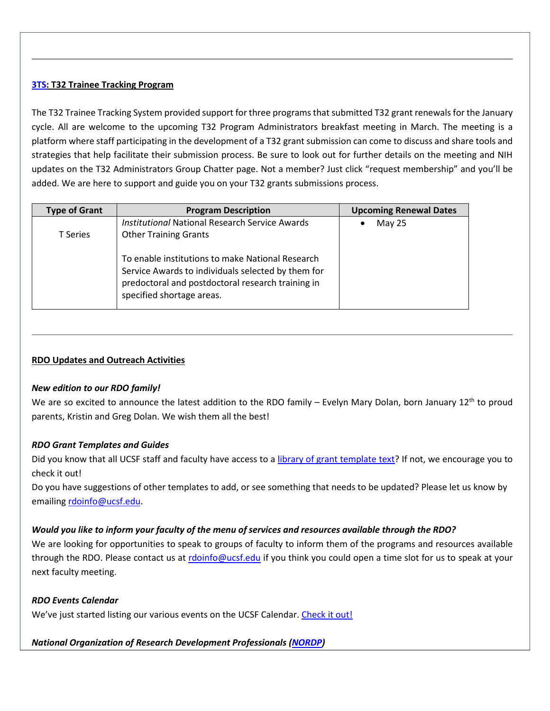# **[3TS:](https://accelerate.ucsf.edu/training/t32-resources#tracking) T32 Trainee Tracking Program**

The T32 Trainee Tracking System provided support for three programs that submitted T32 grant renewals for the January cycle. All are welcome to the upcoming T32 Program Administrators breakfast meeting in March. The meeting is a platform where staff participating in the development of a T32 grant submission can come to discuss and share tools and strategies that help facilitate their submission process. Be sure to look out for further details on the meeting and NIH updates on the T32 Administrators Group Chatter page. Not a member? Just click "request membership" and you'll be added. We are here to support and guide you on your T32 grants submissions process.

| <b>Type of Grant</b> | <b>Program Description</b>                                                                                                                                                               | <b>Upcoming Renewal Dates</b> |
|----------------------|------------------------------------------------------------------------------------------------------------------------------------------------------------------------------------------|-------------------------------|
|                      | <b>Institutional National Research Service Awards</b>                                                                                                                                    | May 25                        |
| <b>T</b> Series      | <b>Other Training Grants</b>                                                                                                                                                             |                               |
|                      | To enable institutions to make National Research<br>Service Awards to individuals selected by them for<br>predoctoral and postdoctoral research training in<br>specified shortage areas. |                               |

# **RDO Updates and Outreach Activities**

#### *New edition to our RDO family!*

We are so excited to announce the latest addition to the RDO family – Evelyn Mary Dolan, born January 12<sup>th</sup> to proud parents, Kristin and Greg Dolan. We wish them all the best!

#### *RDO Grant Templates and Guides*

Did you know that all UCSF staff and faculty have access to a [library of grant template text?](http://guides.ucsf.edu/rdo) If not, we encourage you to check it out!

Do you have suggestions of other templates to add, or see something that needs to be updated? Please let us know by emailing [rdoinfo@ucsf.edu.](mailto:rdoinfo@ucsf.edu)

#### *Would you like to inform your faculty of the menu of services and resources available through the RDO?*

We are looking for opportunities to speak to groups of faculty to inform them of the programs and resources available through the RDO. Please contact us at [rdoinfo@ucsf.edu](mailto:rdoinfo@ucsf.edu) if you think you could open a time slot for us to speak at your next faculty meeting.

#### *RDO Events Calendar*

We've just started listing our various events on the UCSF Calendar[. Check it out!](https://calendar.ucsf.edu/group/research_development_office)

#### *National Organization of Research Development Professionals [\(NORDP\)](http://www.nordp.org/)*